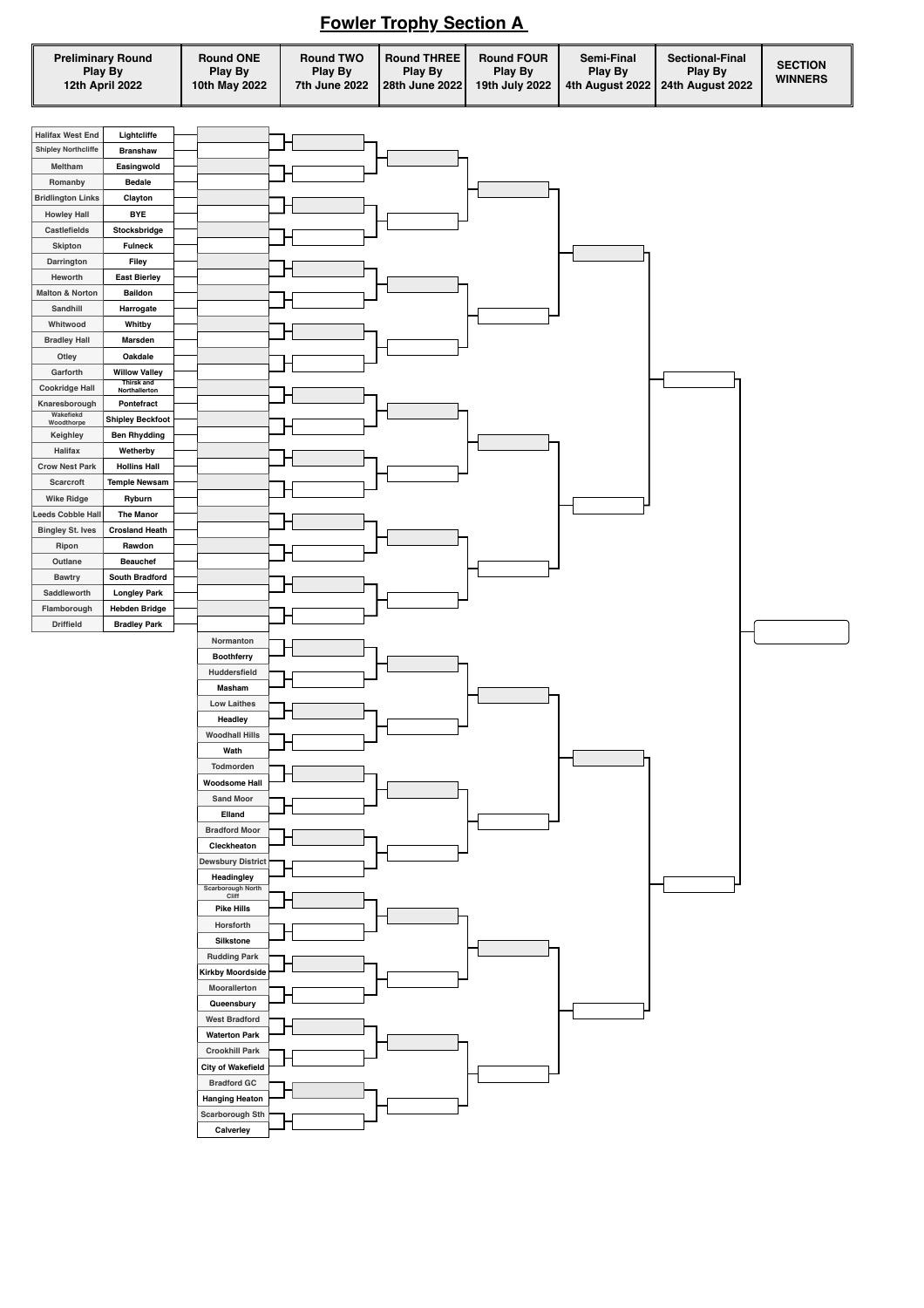

## **Fowler Trophy Section A**

| <b>SECTION</b><br><b>Play By</b><br><b>Play By</b><br><b>Play By</b><br>Play By<br><b>Play By</b><br><b>Play By</b><br><b>Play By</b><br><b>WINNERS</b><br>12th April 2022<br>10th May 2022<br>28th June 2022<br>19th July 2022<br>4th August 2022   24th August 2022<br>7th June 2022 |
|----------------------------------------------------------------------------------------------------------------------------------------------------------------------------------------------------------------------------------------------------------------------------------------|
|----------------------------------------------------------------------------------------------------------------------------------------------------------------------------------------------------------------------------------------------------------------------------------------|